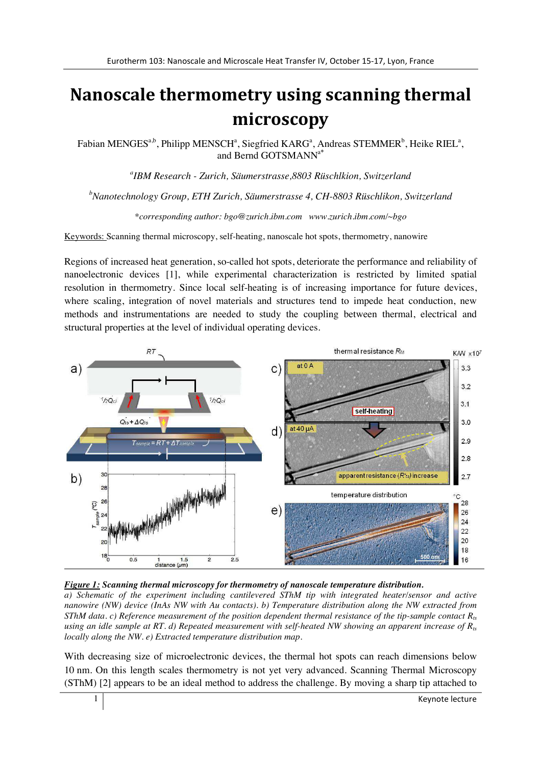## Nanoscale thermometry using scanning thermal microscopy

Fabian MENGES<sup>a,b</sup>, Philipp MENSCH<sup>a</sup>, Siegfried KARG<sup>a</sup>, Andreas STEMMER<sup>b</sup>, Heike RIEL<sup>a</sup>, and Bernd GOTSMANNa**\***

*a IBM Research - Zurich, Säumerstrasse,8803 Rüschlkion, Switzerland* 

*b Nanotechnology Group, ETH Zurich, Säumerstrasse 4, CH-8803 Rüschlikon, Switzerland* 

*\*corresponding author: bgo@zurich.ibm.com www.zurich.ibm.com/~bgo* 

Keywords: Scanning thermal microscopy, self-heating, nanoscale hot spots, thermometry, nanowire

Regions of increased heat generation, so-called hot spots, deteriorate the performance and reliability of nanoelectronic devices [1], while experimental characterization is restricted by limited spatial resolution in thermometry. Since local self-heating is of increasing importance for future devices, where scaling, integration of novel materials and structures tend to impede heat conduction, new methods and instrumentations are needed to study the coupling between thermal, electrical and structural properties at the level of individual operating devices.





*a) Schematic of the experiment including cantilevered SThM tip with integrated heater/sensor and active nanowire (NW) device (InAs NW with Au contacts). b) Temperature distribution along the NW extracted from SThM data. c) Reference measurement of the position dependent thermal resistance of the tip-sample contact R<sub>ts</sub> using an idle sample at RT. d) Repeated measurement with self-heated NW showing an apparent increase of*  $R_{ts}$ *locally along the NW. e) Extracted temperature distribution map.* 

With decreasing size of microelectronic devices, the thermal hot spots can reach dimensions below 10 nm. On this length scales thermometry is not yet very advanced. Scanning Thermal Microscopy (SThM) [2] appears to be an ideal method to address the challenge. By moving a sharp tip attached to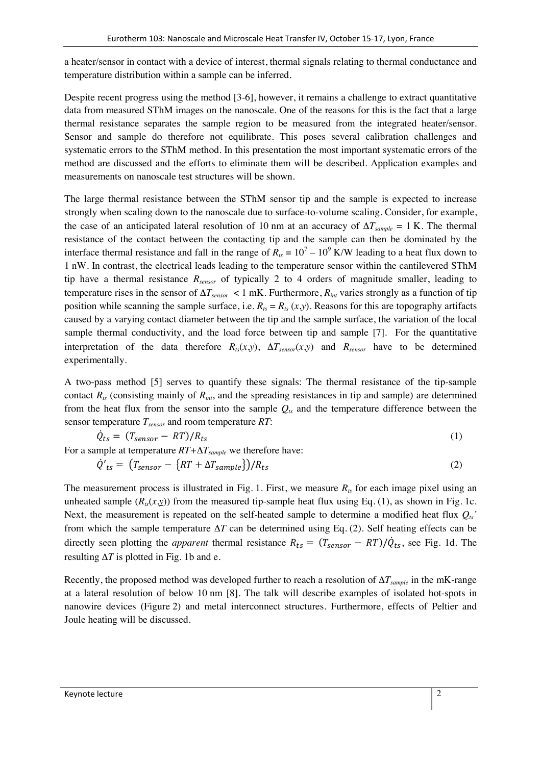a heater/sensor in contact with a device of interest, thermal signals relating to thermal conductance and temperature distribution within a sample can be inferred.

Despite recent progress using the method [3-6], however, it remains a challenge to extract quantitative data from measured SThM images on the nanoscale. One of the reasons for this is the fact that a large thermal resistance separates the sample region to be measured from the integrated heater/sensor. Sensor and sample do therefore not equilibrate. This poses several calibration challenges and systematic errors to the SThM method. In this presentation the most important systematic errors of the method are discussed and the efforts to eliminate them will be described. Application examples and measurements on nanoscale test structures will be shown.

The large thermal resistance between the SThM sensor tip and the sample is expected to increase strongly when scaling down to the nanoscale due to surface-to-volume scaling. Consider, for example, the case of an anticipated lateral resolution of 10 nm at an accuracy of  $\Delta T_{sample} = 1$  K. The thermal resistance of the contact between the contacting tip and the sample can then be dominated by the interface thermal resistance and fall in the range of  $R_{ts} = 10^7 - 10^9$  K/W leading to a heat flux down to 1 nW. In contrast, the electrical leads leading to the temperature sensor within the cantilevered SThM tip have a thermal resistance *Rsensor* of typically 2 to 4 orders of magnitude smaller, leading to temperature rises in the sensor of  $\Delta T_{sensor}$  < 1 mK. Furthermore,  $R_{int}$  varies strongly as a function of tip position while scanning the sample surface, i.e.  $R_{ts} = R_{ts} (x, y)$ . Reasons for this are topography artifacts caused by a varying contact diameter between the tip and the sample surface, the variation of the local sample thermal conductivity, and the load force between tip and sample [7]. For the quantitative interpretation of the data therefore  $R_{ts}(x, y)$ ,  $\Delta T_{sensor}(x, y)$  and  $R_{sensor}$  have to be determined experimentally.

A two-pass method [5] serves to quantify these signals: The thermal resistance of the tip-sample contact  $R_{ts}$  (consisting mainly of  $R_{int}$ , and the spreading resistances in tip and sample) are determined from the heat flux from the sensor into the sample  $Q_{ts}$  and the temperature difference between the sensor temperature *Tsensor* and room temperature *RT*:

$$
\dot{Q}_{ts} = (T_{sensor} - RT)/R_{ts} \tag{1}
$$

For a sample at temperature 
$$
RT + \Delta T_{sample}
$$
 we therefore have:  
\n
$$
\dot{Q}'_{ts} = (T_{sensor} - \{RT + \Delta T_{sample}\})/R_{ts}
$$
\n(2)

The measurement process is illustrated in Fig. 1. First, we measure  $R<sub>k</sub>$  for each image pixel using an unheated sample  $(R_{ts}(x, y))$  from the measured tip-sample heat flux using Eq. (1), as shown in Fig. 1c. Next, the measurement is repeated on the self-heated sample to determine a modified heat flux  $Q_{ts}$ ' from which the sample temperature Δ*T* can be determined using Eq. (2). Self heating effects can be directly seen plotting the *apparent* thermal resistance  $R_{ts} = (T_{sensor} - RT)/\dot{Q}_{ts}$ , see Fig. 1d. The resulting  $\Delta T$  is plotted in Fig. 1b and e.

Recently, the proposed method was developed further to reach a resolution of  $ΔT_{sample}$  in the mK-range at a lateral resolution of below 10 nm [8]. The talk will describe examples of isolated hot-spots in nanowire devices (Figure 2) and metal interconnect structures. Furthermore, effects of Peltier and Joule heating will be discussed.